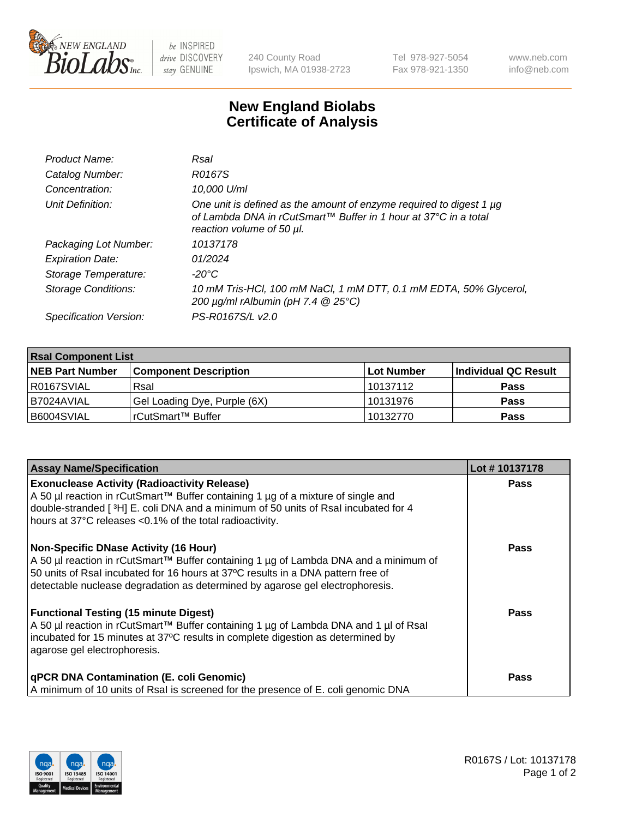

 $be$  INSPIRED drive DISCOVERY stay GENUINE

240 County Road Ipswich, MA 01938-2723 Tel 978-927-5054 Fax 978-921-1350 www.neb.com info@neb.com

## **New England Biolabs Certificate of Analysis**

| Product Name:              | Rsal                                                                                                                                                                |
|----------------------------|---------------------------------------------------------------------------------------------------------------------------------------------------------------------|
| Catalog Number:            | R0167S                                                                                                                                                              |
| Concentration:             | 10,000 U/ml                                                                                                                                                         |
| Unit Definition:           | One unit is defined as the amount of enzyme required to digest 1 µg<br>of Lambda DNA in rCutSmart™ Buffer in 1 hour at 37°C in a total<br>reaction volume of 50 µl. |
| Packaging Lot Number:      | 10137178                                                                                                                                                            |
| <b>Expiration Date:</b>    | 01/2024                                                                                                                                                             |
| Storage Temperature:       | $-20^{\circ}$ C                                                                                                                                                     |
| <b>Storage Conditions:</b> | 10 mM Tris-HCl, 100 mM NaCl, 1 mM DTT, 0.1 mM EDTA, 50% Glycerol,<br>200 $\mu$ g/ml rAlbumin (pH 7.4 $@$ 25°C)                                                      |
| Specification Version:     | PS-R0167S/L v2.0                                                                                                                                                    |

| <b>Rsal Component List</b> |                              |             |                      |  |  |
|----------------------------|------------------------------|-------------|----------------------|--|--|
| <b>NEB Part Number</b>     | <b>Component Description</b> | ∣Lot Number | Individual QC Result |  |  |
| R0167SVIAL                 | Rsal                         | 10137112    | <b>Pass</b>          |  |  |
| B7024AVIAL                 | Gel Loading Dye, Purple (6X) | 10131976    | <b>Pass</b>          |  |  |
| B6004SVIAL                 | rCutSmart™ Buffer            | 10132770    | <b>Pass</b>          |  |  |

| <b>Assay Name/Specification</b>                                                                                                                                                                                                                                                                          | Lot #10137178 |
|----------------------------------------------------------------------------------------------------------------------------------------------------------------------------------------------------------------------------------------------------------------------------------------------------------|---------------|
| <b>Exonuclease Activity (Radioactivity Release)</b><br>A 50 µl reaction in rCutSmart™ Buffer containing 1 µg of a mixture of single and<br>double-stranded [3H] E. coli DNA and a minimum of 50 units of Rsal incubated for 4<br>hours at 37°C releases <0.1% of the total radioactivity.                | <b>Pass</b>   |
| <b>Non-Specific DNase Activity (16 Hour)</b><br>A 50 µl reaction in rCutSmart™ Buffer containing 1 µg of Lambda DNA and a minimum of<br>50 units of Rsal incubated for 16 hours at 37°C results in a DNA pattern free of                                                                                 | <b>Pass</b>   |
| detectable nuclease degradation as determined by agarose gel electrophoresis.<br><b>Functional Testing (15 minute Digest)</b><br>A 50 µl reaction in rCutSmart™ Buffer containing 1 µg of Lambda DNA and 1 µl of Rsal<br>incubated for 15 minutes at 37°C results in complete digestion as determined by | Pass          |
| agarose gel electrophoresis.<br>qPCR DNA Contamination (E. coli Genomic)<br>A minimum of 10 units of Rsal is screened for the presence of E. coli genomic DNA                                                                                                                                            | Pass          |